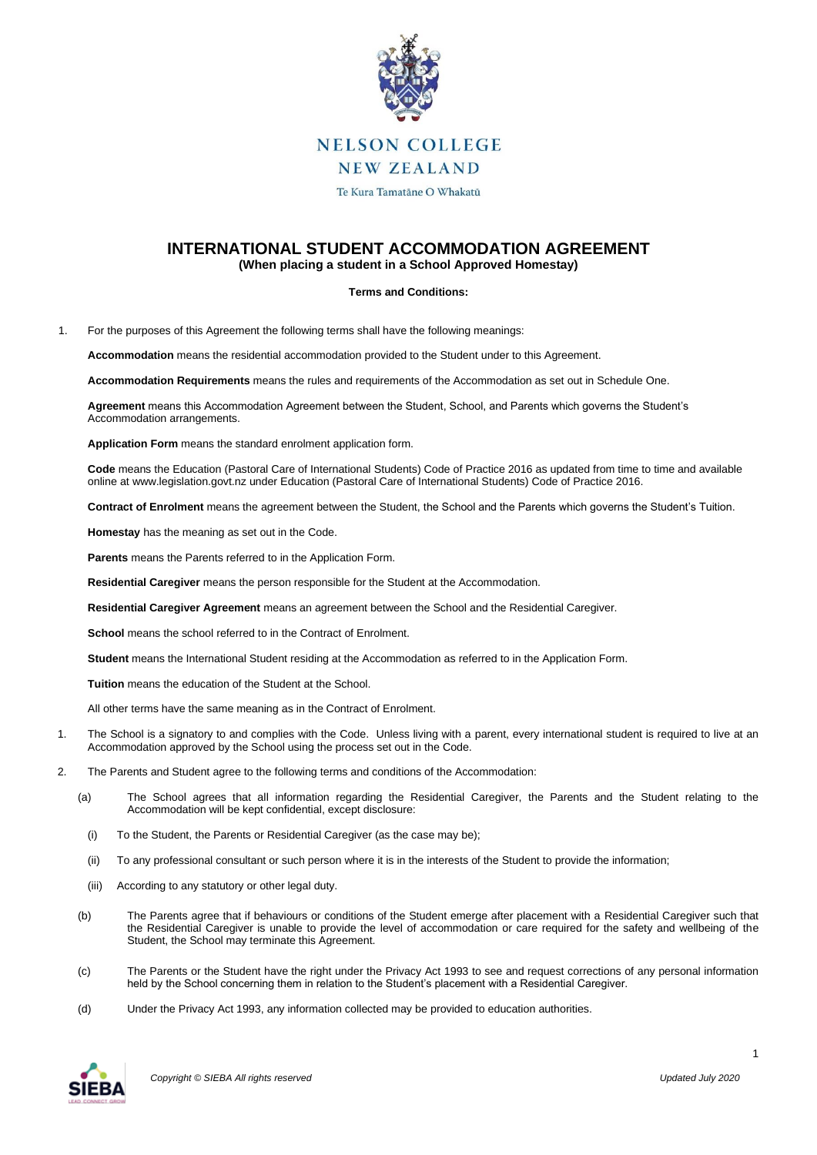

# **INTERNATIONAL STUDENT ACCOMMODATION AGREEMENT (When placing a student in a School Approved Homestay)**

### **Terms and Conditions:**

1. For the purposes of this Agreement the following terms shall have the following meanings:

**Accommodation** means the residential accommodation provided to the Student under to this Agreement.

**Accommodation Requirements** means the rules and requirements of the Accommodation as set out in Schedule One.

**Agreement** means this Accommodation Agreement between the Student, School, and Parents which governs the Student's Accommodation arrangements.

**Application Form** means the standard enrolment application form.

**Code** means the Education (Pastoral Care of International Students) Code of Practice 2016 as updated from time to time and available online at www.legislation.govt.nz under Education (Pastoral Care of International Students) Code of Practice 2016.

**Contract of Enrolment** means the agreement between the Student, the School and the Parents which governs the Student's Tuition.

**Homestay** has the meaning as set out in the Code.

**Parents** means the Parents referred to in the Application Form.

**Residential Caregiver** means the person responsible for the Student at the Accommodation.

**Residential Caregiver Agreement** means an agreement between the School and the Residential Caregiver.

**School** means the school referred to in the Contract of Enrolment.

**Student** means the International Student residing at the Accommodation as referred to in the Application Form.

**Tuition** means the education of the Student at the School.

All other terms have the same meaning as in the Contract of Enrolment.

- 1. The School is a signatory to and complies with the Code. Unless living with a parent, every international student is required to live at an Accommodation approved by the School using the process set out in the Code.
- 2. The Parents and Student agree to the following terms and conditions of the Accommodation:
	- (a) The School agrees that all information regarding the Residential Caregiver, the Parents and the Student relating to the Accommodation will be kept confidential, except disclosure:
		- (i) To the Student, the Parents or Residential Caregiver (as the case may be);
		- (ii) To any professional consultant or such person where it is in the interests of the Student to provide the information;
		- (iii) According to any statutory or other legal duty.
	- (b) The Parents agree that if behaviours or conditions of the Student emerge after placement with a Residential Caregiver such that the Residential Caregiver is unable to provide the level of accommodation or care required for the safety and wellbeing of the Student, the School may terminate this Agreement.
	- (c) The Parents or the Student have the right under the Privacy Act 1993 to see and request corrections of any personal information held by the School concerning them in relation to the Student's placement with a Residential Caregiver.
	- (d) Under the Privacy Act 1993, any information collected may be provided to education authorities.

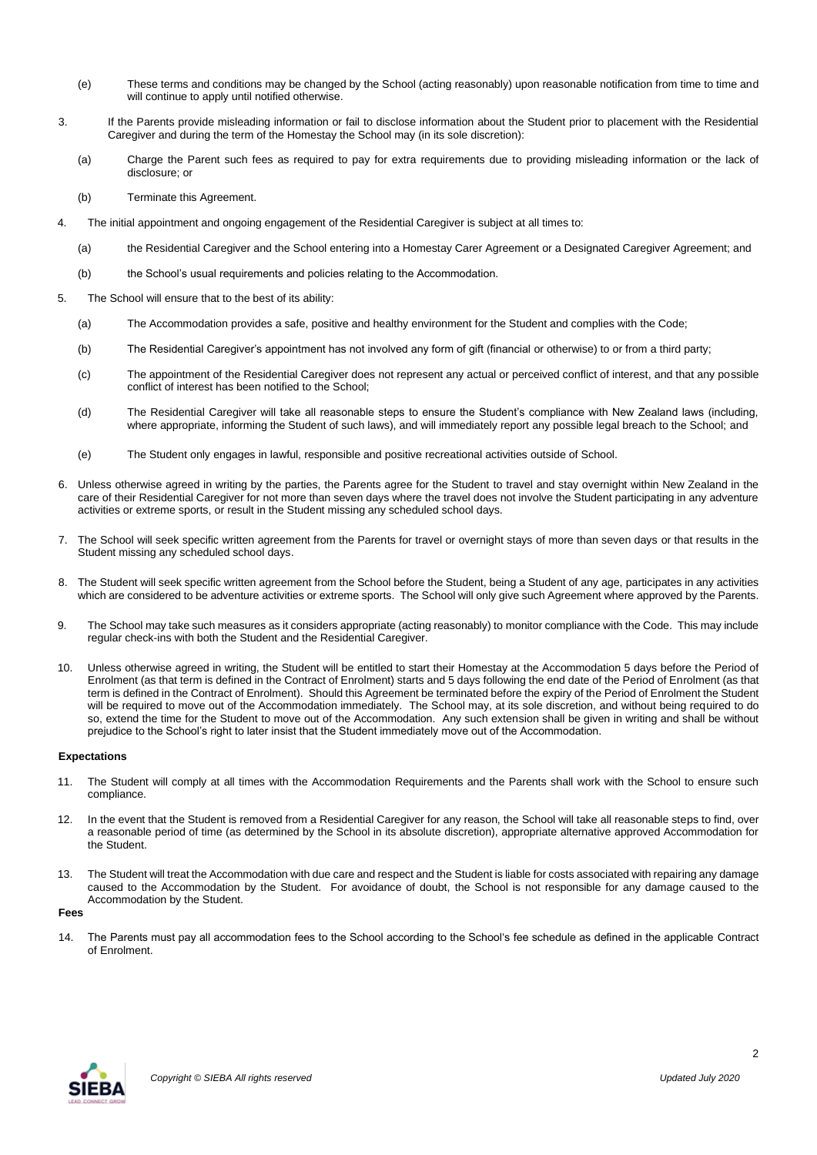- (e) These terms and conditions may be changed by the School (acting reasonably) upon reasonable notification from time to time and will continue to apply until notified otherwise.
- 3. If the Parents provide misleading information or fail to disclose information about the Student prior to placement with the Residential Caregiver and during the term of the Homestay the School may (in its sole discretion):
	- (a) Charge the Parent such fees as required to pay for extra requirements due to providing misleading information or the lack of disclosure; or
	- (b) Terminate this Agreement.
- 4. The initial appointment and ongoing engagement of the Residential Caregiver is subject at all times to:
	- (a) the Residential Caregiver and the School entering into a Homestay Carer Agreement or a Designated Caregiver Agreement; and
	- (b) the School's usual requirements and policies relating to the Accommodation.
- 5. The School will ensure that to the best of its ability:
	- (a) The Accommodation provides a safe, positive and healthy environment for the Student and complies with the Code;
	- (b) The Residential Caregiver's appointment has not involved any form of gift (financial or otherwise) to or from a third party;
	- (c) The appointment of the Residential Caregiver does not represent any actual or perceived conflict of interest, and that any possible conflict of interest has been notified to the School;
	- (d) The Residential Caregiver will take all reasonable steps to ensure the Student's compliance with New Zealand laws (including, where appropriate, informing the Student of such laws), and will immediately report any possible legal breach to the School; and
	- (e) The Student only engages in lawful, responsible and positive recreational activities outside of School.
- 6. Unless otherwise agreed in writing by the parties, the Parents agree for the Student to travel and stay overnight within New Zealand in the care of their Residential Caregiver for not more than seven days where the travel does not involve the Student participating in any adventure activities or extreme sports, or result in the Student missing any scheduled school days.
- 7. The School will seek specific written agreement from the Parents for travel or overnight stays of more than seven days or that results in the Student missing any scheduled school days.
- 8. The Student will seek specific written agreement from the School before the Student, being a Student of any age, participates in any activities which are considered to be adventure activities or extreme sports. The School will only give such Agreement where approved by the Parents.
- 9. The School may take such measures as it considers appropriate (acting reasonably) to monitor compliance with the Code. This may include regular check-ins with both the Student and the Residential Caregiver.
- 10. Unless otherwise agreed in writing, the Student will be entitled to start their Homestay at the Accommodation 5 days before the Period of Enrolment (as that term is defined in the Contract of Enrolment) starts and 5 days following the end date of the Period of Enrolment (as that term is defined in the Contract of Enrolment). Should this Agreement be terminated before the expiry of the Period of Enrolment the Student will be required to move out of the Accommodation immediately. The School may, at its sole discretion, and without being required to do so, extend the time for the Student to move out of the Accommodation. Any such extension shall be given in writing and shall be without prejudice to the School's right to later insist that the Student immediately move out of the Accommodation.

#### **Expectations**

- 11. The Student will comply at all times with the Accommodation Requirements and the Parents shall work with the School to ensure such compliance.
- 12. In the event that the Student is removed from a Residential Caregiver for any reason, the School will take all reasonable steps to find, over a reasonable period of time (as determined by the School in its absolute discretion), appropriate alternative approved Accommodation for the Student.
- 13. The Student will treat the Accommodation with due care and respect and the Student is liable for costs associated with repairing any damage caused to the Accommodation by the Student. For avoidance of doubt, the School is not responsible for any damage caused to the Accommodation by the Student.

**Fees**

14. The Parents must pay all accommodation fees to the School according to the School's fee schedule as defined in the applicable Contract of Enrolment.

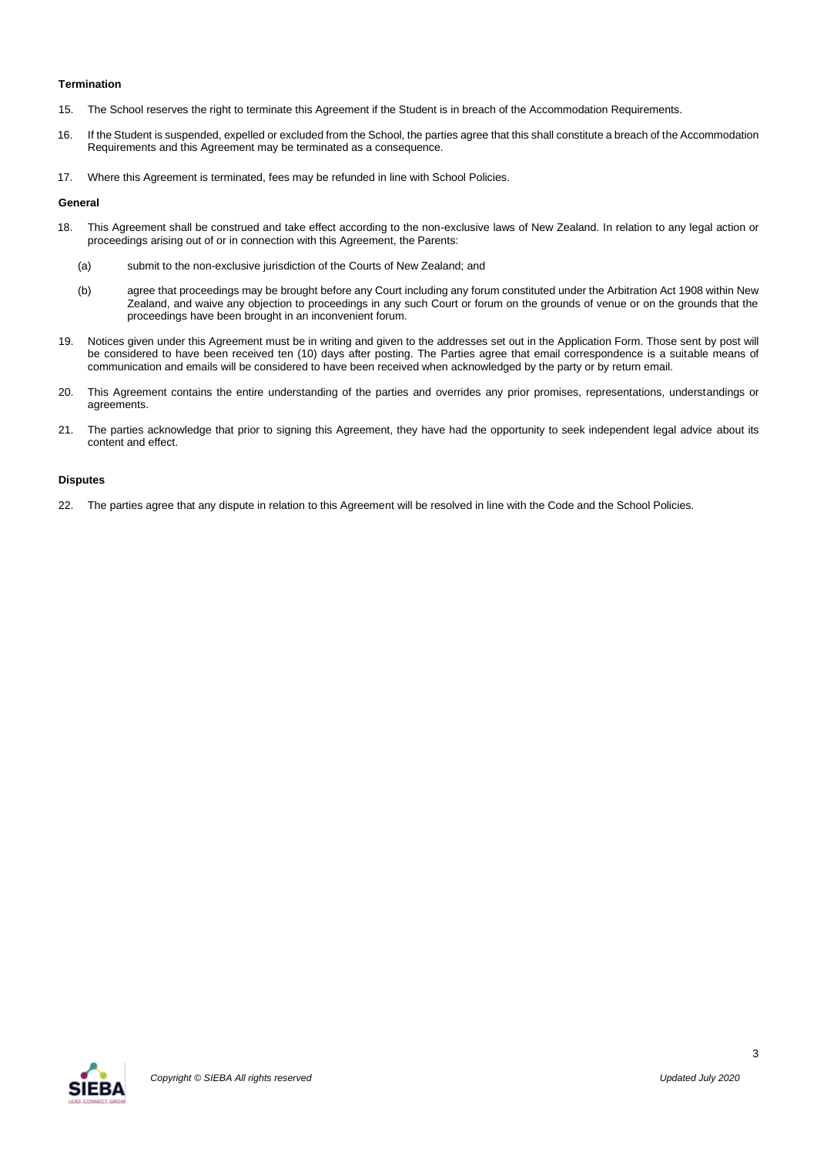## **Termination**

- 15. The School reserves the right to terminate this Agreement if the Student is in breach of the Accommodation Requirements.
- 16. If the Student is suspended, expelled or excluded from the School, the parties agree that this shall constitute a breach of the Accommodation Requirements and this Agreement may be terminated as a consequence.
- 17. Where this Agreement is terminated, fees may be refunded in line with School Policies.

#### **General**

- 18. This Agreement shall be construed and take effect according to the non-exclusive laws of New Zealand. In relation to any legal action or proceedings arising out of or in connection with this Agreement, the Parents:
	- (a) submit to the non-exclusive jurisdiction of the Courts of New Zealand; and
	- (b) agree that proceedings may be brought before any Court including any forum constituted under the Arbitration Act 1908 within New Zealand, and waive any objection to proceedings in any such Court or forum on the grounds of venue or on the grounds that the proceedings have been brought in an inconvenient forum.
- 19. Notices given under this Agreement must be in writing and given to the addresses set out in the Application Form. Those sent by post will be considered to have been received ten (10) days after posting. The Parties agree that email correspondence is a suitable means of communication and emails will be considered to have been received when acknowledged by the party or by return email.
- 20. This Agreement contains the entire understanding of the parties and overrides any prior promises, representations, understandings or agreements.
- 21. The parties acknowledge that prior to signing this Agreement, they have had the opportunity to seek independent legal advice about its content and effect.

#### **Disputes**

22. The parties agree that any dispute in relation to this Agreement will be resolved in line with the Code and the School Policies.